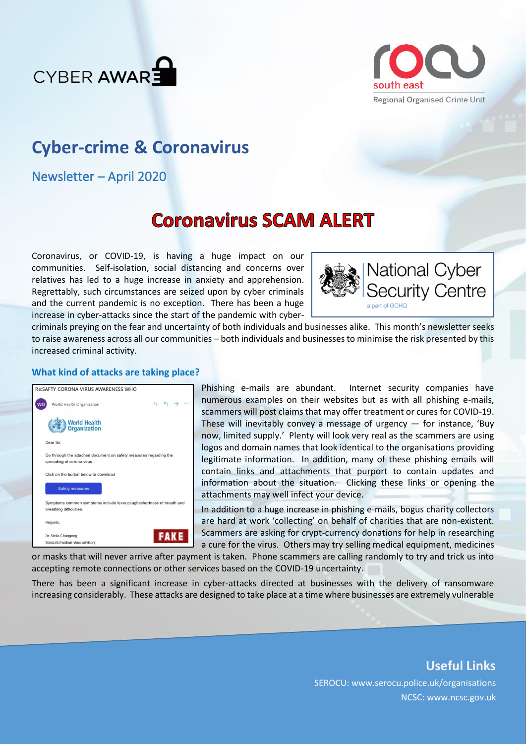



## **Cyber-crime & Coronavirus**

Newsletter – April 2020

# **Coronavirus SCAM ALERT**

Coronavirus, or COVID-19, is having a huge impact on our communities. Self-isolation, social distancing and concerns over relatives has led to a huge increase in anxiety and apprehension. Regrettably, such circumstances are seized upon by cyber criminals and the current pandemic is no exception. There has been a huge increase in cyber-attacks since the start of the pandemic with cyber-



criminals preying on the fear and uncertainty of both individuals and businesses alike. This month's newsletter seeks to raise awareness across all our communities – both individuals and businesses to minimise the risk presented by this increased criminal activity.

#### **What kind of attacks are taking place?**

| <b>Re:SAFTY CORONA VIRUS AWARENESS WHO</b> |                                                                                                  |
|--------------------------------------------|--------------------------------------------------------------------------------------------------|
|                                            | $6 \& 7$<br>World Health Organization                                                            |
|                                            | <b>World Health</b><br><b>Organization</b>                                                       |
|                                            | Dear Sir.                                                                                        |
|                                            | Go through the attached document on safety measures regarding the<br>spreading of corona virus.  |
|                                            | Click on the button below to download                                                            |
|                                            | <b>Safety measures</b>                                                                           |
|                                            | Symptoms common symptoms include fever, coughcshortness of breath and<br>breathing difficulties. |
|                                            | Regards,                                                                                         |
|                                            | <b>FAKE</b><br>Dr. Stella Chungong<br>Specialist wuhan-virus-advisory                            |

Phishing e-mails are abundant. Internet security companies have numerous examples on their websites but as with all phishing e-mails, scammers will post claims that may offer treatment or cures for COVID-19. These will inevitably convey a message of urgency  $-$  for instance, 'Buy now, limited supply.' Plenty will look very real as the scammers are using logos and domain names that look identical to the organisations providing legitimate information. In addition, many of these phishing emails will contain links and attachments that purport to contain updates and information about the situation. Clicking these links or opening the attachments may well infect your device.

In addition to a huge increase in phishing e-mails, bogus charity collectors are hard at work 'collecting' on behalf of charities that are non-existent. Scammers are asking for crypt-currency donations for help in researching a cure for the virus. Others may try selling medical equipment, medicines

or masks that will never arrive after payment is taken. Phone scammers are calling randomly to try and trick us into accepting remote connections or other services based on the COVID-19 uncertainty.

There has been a significant increase in cyber-attacks directed at businesses with the delivery of ransomware increasing considerably. These attacks are designed to take place at a time where businesses are extremely vulnerable

## **Useful Links** SEROCU: www.serocu.police.uk/organisations NCSC: www.ncsc.gov.uk